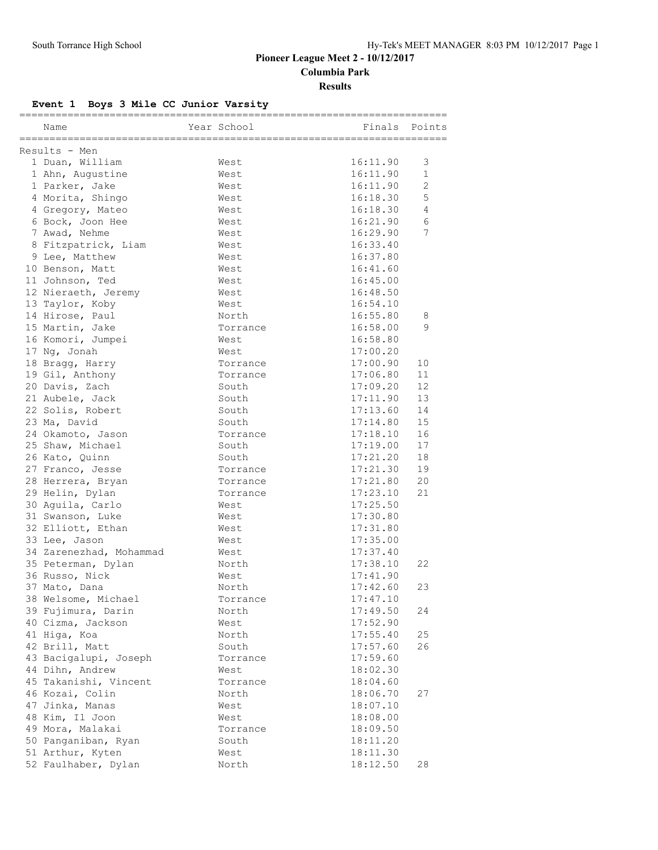## **Pioneer League Meet 2 - 10/12/2017 Columbia Park**

**Results**

## **Event 1 Boys 3 Mile CC Junior Varsity**

|                         |              | ;=================== |                       |
|-------------------------|--------------|----------------------|-----------------------|
| Name                    | Year School  | Finals               | Points                |
|                         |              |                      |                       |
| Results - Men           |              | 16:11.90             | 3                     |
| 1 Duan, William         | West<br>West | 16:11.90             | $\mathbf 1$           |
| 1 Ahn, Augustine        | West         | 16:11.90             | $\mathbf{2}^{\prime}$ |
| 1 Parker, Jake          |              |                      | 5                     |
| 4 Morita, Shingo        | West         | 16:18.30             |                       |
| 4 Gregory, Mateo        | West         | 16:18.30             | 4<br>6                |
| 6 Bock, Joon Hee        | West         | 16:21.90             |                       |
| 7 Awad, Nehme           | West         | 16:29.90             | 7                     |
| 8 Fitzpatrick, Liam     | West         | 16:33.40             |                       |
| 9 Lee, Matthew          | West         | 16:37.80             |                       |
| 10 Benson, Matt         | West         | 16:41.60             |                       |
| 11 Johnson, Ted         | West         | 16:45.00             |                       |
| 12 Nieraeth, Jeremy     | West         | 16:48.50             |                       |
| 13 Taylor, Koby         | West         | 16:54.10             |                       |
| 14 Hirose, Paul         | North        | 16:55.80             | 8                     |
| 15 Martin, Jake         | Torrance     | 16:58.00             | 9                     |
| 16 Komori, Jumpei       | West         | 16:58.80             |                       |
| 17 Ng, Jonah            | West         | 17:00.20             |                       |
| 18 Bragg, Harry         | Torrance     | 17:00.90             | 10                    |
| 19 Gil, Anthony         | Torrance     | 17:06.80             | 11                    |
| 20 Davis, Zach          | South        | 17:09.20             | 12                    |
| 21 Aubele, Jack         | South        | 17:11.90             | 13                    |
| 22 Solis, Robert        | South        | 17:13.60             | 14                    |
| 23 Ma, David            | South        | 17:14.80             | 15                    |
| 24 Okamoto, Jason       | Torrance     | 17:18.10             | 16                    |
| 25 Shaw, Michael        | South        | 17:19.00             | 17                    |
| 26 Kato, Quinn          | South        | 17:21.20             | 18                    |
| 27 Franco, Jesse        | Torrance     | 17:21.30             | 19                    |
| 28 Herrera, Bryan       | Torrance     | 17:21.80             | 20                    |
| 29 Helin, Dylan         | Torrance     | 17:23.10             | 21                    |
| 30 Aguila, Carlo        | West         | 17:25.50             |                       |
| 31 Swanson, Luke        | West         | 17:30.80             |                       |
| 32 Elliott, Ethan       | West         | 17:31.80             |                       |
| 33 Lee, Jason           | West         | 17:35.00             |                       |
| 34 Zarenezhad, Mohammad | West         | 17:37.40             |                       |
| 35 Peterman, Dylan      | North        | 17:38.10             | 22                    |
| 36 Russo, Nick          | West         | 17:41.90             |                       |
| 37 Mato, Dana           | North        | 17:42.60             | 23                    |
| 38 Welsome, Michael     | Torrance     | 17:47.10             |                       |
| 39 Fujimura, Darin      | North        | 17:49.50             | 24                    |
| 40 Cizma, Jackson       | West         | 17:52.90             |                       |
| 41 Higa, Koa            | North        | 17:55.40             | 25                    |
| 42 Brill, Matt          | South        | 17:57.60             | 26                    |
| 43 Bacigalupi, Joseph   | Torrance     | 17:59.60             |                       |
| 44 Dihn, Andrew         | West         | 18:02.30             |                       |
| 45 Takanishi, Vincent   | Torrance     | 18:04.60             |                       |
| 46 Kozai, Colin         | North        | 18:06.70             | 27                    |
| 47 Jinka, Manas         | West         | 18:07.10             |                       |
| 48 Kim, Il Joon         | West         | 18:08.00             |                       |
| 49 Mora, Malakai        | Torrance     | 18:09.50             |                       |
| 50 Panganiban, Ryan     | South        | 18:11.20             |                       |
| 51 Arthur, Kyten        | West         | 18:11.30             |                       |
| 52 Faulhaber, Dylan     | North        | 18:12.50             | 28                    |
|                         |              |                      |                       |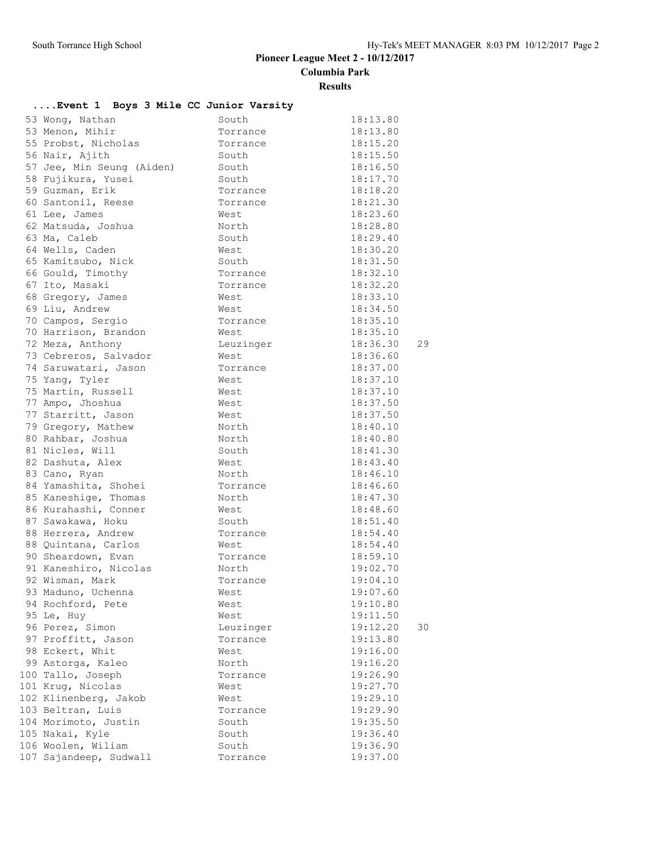## **Pioneer League Meet 2 - 10/12/2017**

**Columbia Park**

#### **Results**

## **....Event 1 Boys 3 Mile CC Junior Varsity**

| 53 Wong, Nathan           | South     | 18:13.80       |
|---------------------------|-----------|----------------|
| 53 Menon, Mihir           | Torrance  | 18:13.80       |
| 55 Probst, Nicholas       | Torrance  | 18:15.20       |
| 56 Nair, Ajith            | South     | 18:15.50       |
| 57 Jee, Min Seung (Aiden) | South     | 18:16.50       |
| 58 Fujikura, Yusei        | South     | 18:17.70       |
| 59 Guzman, Erik           | Torrance  | 18:18.20       |
| 60 Santonil, Reese        | Torrance  | 18:21.30       |
| 61 Lee, James             | West      | 18:23.60       |
| 62 Matsuda, Joshua        | North     | 18:28.80       |
| 63 Ma, Caleb              | South     | 18:29.40       |
| 64 Wells, Caden           | West      | 18:30.20       |
| 65 Kamitsubo, Nick        | South     | 18:31.50       |
| 66 Gould, Timothy         | Torrance  | 18:32.10       |
| 67 Ito, Masaki            | Torrance  | 18:32.20       |
| 68 Gregory, James         | West      | 18:33.10       |
| 69 Liu, Andrew            | West      | 18:34.50       |
| 70 Campos, Sergio         | Torrance  | 18:35.10       |
| 70 Harrison, Brandon      | West      | 18:35.10       |
| 72 Meza, Anthony          | Leuzinger | 18:36.30<br>29 |
| 73 Cebreros, Salvador     | West      | 18:36.60       |
| 74 Saruwatari, Jason      | Torrance  | 18:37.00       |
| 75 Yang, Tyler            | West      | 18:37.10       |
| 75 Martin, Russell        | West      | 18:37.10       |
| 77 Ampo, Jhoshua          | West      | 18:37.50       |
| 77 Starritt, Jason        | West      | 18:37.50       |
| 79 Gregory, Mathew        | North     | 18:40.10       |
| 80 Rahbar, Joshua         | North     | 18:40.80       |
| 81 Nicles, Will           | South     | 18:41.30       |
| 82 Dashuta, Alex          | West      | 18:43.40       |
| 83 Cano, Ryan             | North     | 18:46.10       |
| 84 Yamashita, Shohei      | Torrance  | 18:46.60       |
| 85 Kaneshige, Thomas      | North     | 18:47.30       |
| 86 Kurahashi, Conner      | West      | 18:48.60       |
| 87 Sawakawa, Hoku         | South     | 18:51.40       |
| 88 Herrera, Andrew        | Torrance  | 18:54.40       |
| 88 Quintana, Carlos       | West      | 18:54.40       |
| 90 Sheardown, Evan        | Torrance  | 18:59.10       |
| 91 Kaneshiro, Nicolas     | North     | 19:02.70       |
| 92 Wisman, Mark           | Torrance  | 19:04.10       |
| 93 Maduno, Uchenna        | West      | 19:07.60       |
| 94 Rochford, Pete         | West      | 19:10.80       |
| 95 Le, Huy                | West      | 19:11.50       |
| 96 Perez, Simon           | Leuzinger | 19:12.20<br>30 |
| 97 Proffitt, Jason        | Torrance  | 19:13.80       |
| 98 Eckert, Whit           | West      | 19:16.00       |
| 99 Astorga, Kaleo         | North     | 19:16.20       |
| 100 Tallo, Joseph         | Torrance  | 19:26.90       |
| 101 Krug, Nicolas         | West      | 19:27.70       |
| 102 Klinenberg, Jakob     | West      | 19:29.10       |
| 103 Beltran, Luis         | Torrance  | 19:29.90       |
| 104 Morimoto, Justin      | South     | 19:35.50       |
| 105 Nakai, Kyle           | South     | 19:36.40       |
| 106 Woolen, Wiliam        | South     | 19:36.90       |
| 107 Sajandeep, Sudwall    | Torrance  | 19:37.00       |
|                           |           |                |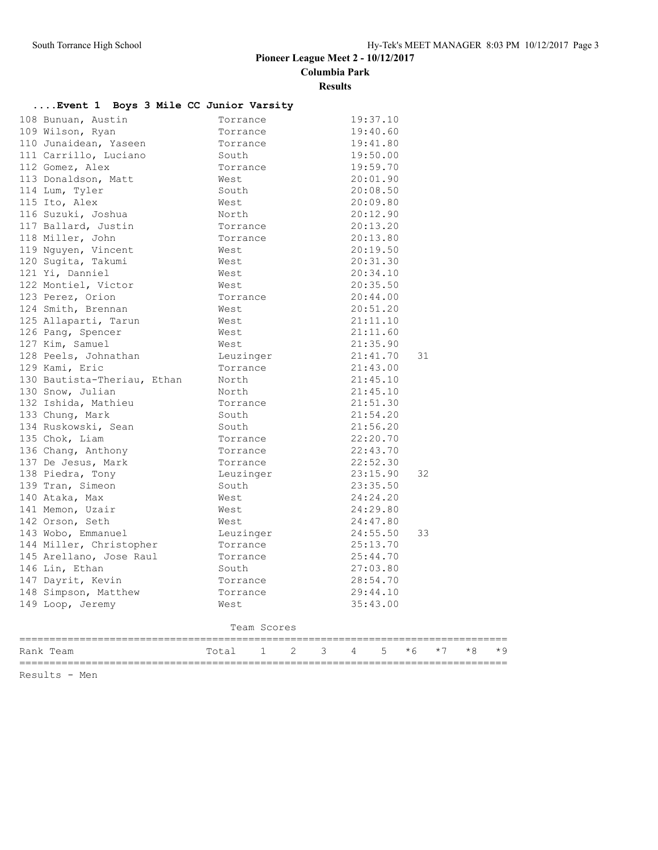## **Pioneer League Meet 2 - 10/12/2017**

**Columbia Park**

#### **Results**

## **....Event 1 Boys 3 Mile CC Junior Varsity**

| Rank Team                                 | Total        | $\mathbf{1}$ | $\mathbf{2}^{\prime}$ | 3                    | $\overline{4}$ | 5                    | $*6$ | $*7$ | $*8$ | $*9$ |
|-------------------------------------------|--------------|--------------|-----------------------|----------------------|----------------|----------------------|------|------|------|------|
|                                           |              | Team Scores  |                       |                      |                |                      |      |      |      |      |
| 149 Loop, Jeremy                          | West         |              |                       |                      |                |                      |      |      |      |      |
| 148 Simpson, Matthew                      | Torrance     |              |                       | 29:44.10<br>35:43.00 |                |                      |      |      |      |      |
| 147 Dayrit, Kevin                         | Torrance     |              |                       |                      |                | 28:54.70             |      |      |      |      |
| 146 Lin, Ethan                            | South        |              |                       |                      |                | 27:03.80             |      |      |      |      |
| 145 Arellano, Jose Raul                   | Torrance     |              |                       |                      |                | 25:44.70             |      |      |      |      |
| 144 Miller, Christopher                   | Torrance     |              |                       |                      |                | 25:13.70             |      |      |      |      |
| 143 Wobo, Emmanuel                        | Leuzinger    |              |                       |                      |                | 24:55.50             | 33   |      |      |      |
| 142 Orson, Seth                           | West         |              |                       |                      |                | 24:47.80             |      |      |      |      |
| 141 Memon, Uzair                          | West         |              |                       |                      |                | 24:29.80             |      |      |      |      |
| 140 Ataka, Max                            | West         |              |                       |                      |                | 24:24.20             |      |      |      |      |
| 139 Tran, Simeon                          | South        |              |                       |                      |                | 23:35.50             |      |      |      |      |
| 138 Piedra, Tony                          | Leuzinger    |              |                       |                      |                | 23:15.90             | 32   |      |      |      |
| 137 De Jesus, Mark                        | Torrance     |              |                       |                      |                | 22:52.30             |      |      |      |      |
| 136 Chang, Anthony                        | Torrance     |              |                       |                      |                | 22:43.70             |      |      |      |      |
| 135 Chok, Liam                            | Torrance     |              |                       |                      |                | 22:20.70             |      |      |      |      |
| 134 Ruskowski, Sean                       | South        |              |                       |                      |                | 21:56.20             |      |      |      |      |
| 133 Chung, Mark                           | South        |              |                       |                      |                | 21:54.20             |      |      |      |      |
| 132 Ishida, Mathieu                       | Torrance     |              |                       |                      |                | 21:51.30             |      |      |      |      |
| 130 Snow, Julian                          | North        |              |                       |                      |                | 21:45.10             |      |      |      |      |
| 130 Bautista-Theriau, Ethan               | North        |              |                       |                      |                | 21:45.10             |      |      |      |      |
| 129 Kami, Eric                            | Torrance     |              |                       |                      |                | 21:43.00             |      |      |      |      |
| 128 Peels, Johnathan                      | Leuzinger    |              |                       |                      |                | 21:41.70             | 31   |      |      |      |
| 127 Kim, Samuel                           | West         |              |                       |                      |                | 21:35.90             |      |      |      |      |
| 126 Pang, Spencer                         | West         |              |                       |                      |                | 21:11.60             |      |      |      |      |
| 125 Allaparti, Tarun                      | West         |              |                       |                      |                | 21:11.10             |      |      |      |      |
| 124 Smith, Brennan                        | West         |              |                       |                      |                | 20:51.20             |      |      |      |      |
| 123 Perez, Orion                          | Torrance     |              |                       |                      |                | 20:44.00             |      |      |      |      |
| 122 Montiel, Victor                       | West         |              |                       |                      |                | 20:35.50             |      |      |      |      |
| 121 Yi, Danniel                           | West         |              |                       |                      |                | 20:34.10             |      |      |      |      |
| 119 Nguyen, Vincent<br>120 Sugita, Takumi | West<br>West |              |                       |                      |                | 20:19.50<br>20:31.30 |      |      |      |      |
| 118 Miller, John                          | Torrance     |              |                       |                      |                | 20:13.80             |      |      |      |      |
| 117 Ballard, Justin                       | Torrance     |              |                       |                      |                | 20:13.20             |      |      |      |      |
| 116 Suzuki, Joshua                        | North        |              |                       |                      |                | 20:12.90             |      |      |      |      |
| 115 Ito, Alex                             | West         |              |                       |                      |                | 20:09.80             |      |      |      |      |
| 114 Lum, Tyler                            | South        |              |                       |                      |                | 20:08.50             |      |      |      |      |
| 113 Donaldson, Matt                       | West         |              |                       |                      |                | 20:01.90             |      |      |      |      |
| 112 Gomez, Alex                           | Torrance     |              |                       |                      |                | 19:59.70             |      |      |      |      |
| 111 Carrillo, Luciano                     | South        |              |                       |                      |                | 19:50.00             |      |      |      |      |
| 110 Junaidean, Yaseen                     | Torrance     |              |                       |                      |                | 19:41.80             |      |      |      |      |
| 109 Wilson, Ryan                          | Torrance     |              |                       |                      |                | 19:40.60             |      |      |      |      |
| 108 Bunuan, Austin                        | Torrance     |              |                       |                      |                | 19:37.10             |      |      |      |      |

Results - Men